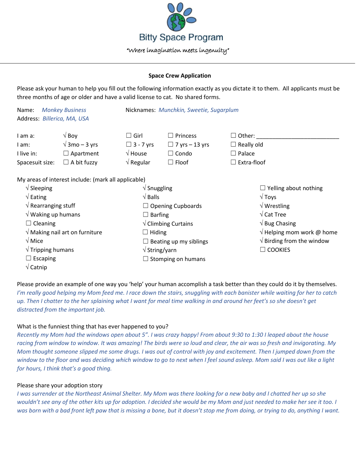

#### **Space Crew Application**

Please ask your human to help you fill out the following information exactly as you dictate it to them. All applicants must be three months of age or older and have a valid license to cat. No shared forms.

| <b>Monkey Business</b><br>Name:         |                                                     |                                    | Nicknames: Munchkin, Sweetie, Sugarplum |                                    |  |
|-----------------------------------------|-----------------------------------------------------|------------------------------------|-----------------------------------------|------------------------------------|--|
| Address: Billerica, MA, USA             |                                                     |                                    |                                         |                                    |  |
| I am a:                                 | $\sqrt{8}$ Boy                                      | $\Box$ Girl                        | Princess                                | Other:                             |  |
| I am:                                   | $\sqrt{3}$ mo – 3 yrs                               | $\Box$ 3 - 7 yrs                   | $\Box$ 7 yrs – 13 yrs                   | $\Box$ Really old                  |  |
| I live in:                              | $\Box$ Apartment                                    | $\sqrt{}$ House                    | $\Box$ Condo                            | $\Box$ Palace                      |  |
| Spacesuit size:                         | $\Box$ A bit fuzzy                                  | $\sqrt{ }$ Regular                 | $\Box$ Floof                            | Extra-floof                        |  |
|                                         | My areas of interest include: (mark all applicable) |                                    |                                         |                                    |  |
| $\sqrt{\phantom{a}}$ Sleeping           |                                                     | $\sqrt{\frac{1}{2}}$ Snuggling     |                                         | $\Box$ Yelling about nothing       |  |
| $\sqrt{\mathsf{Eating}}$                |                                                     | $\sqrt{B}$ alls                    |                                         | $\sqrt{T}$ oys                     |  |
| $\sqrt{ }$ Rearranging stuff            |                                                     | $\Box$ Opening Cupboards           |                                         | $\sqrt{W}$ Wrestling               |  |
| $\sqrt{}$ Waking up humans              |                                                     | $\Box$ Barfing                     |                                         | $\sqrt{\text{Cat} \text{Tree}}$    |  |
| $\Box$ Cleaning                         |                                                     |                                    | $\sqrt{\frac{1}{1}}$ Climbing Curtains  | $\sqrt{B}$ Bug Chasing             |  |
| $\sqrt{2}$ Making nail art on furniture |                                                     | $\Box$ Hiding                      |                                         | $\sqrt{ }$ Helping mom work @ home |  |
| $\sqrt{M}$ Mice                         |                                                     |                                    | $\Box$ Beating up my siblings           | $\sqrt{}$ Birding from the window  |  |
| $\sqrt{}$ Tripping humans               |                                                     | $\sqrt{\text{String}/\text{yarn}}$ |                                         | $\Box$ COOKIES                     |  |
| $\Box$ Escaping                         |                                                     |                                    | Stomping on humans                      |                                    |  |
| $\sqrt{\text{Catnip}}$                  |                                                     |                                    |                                         |                                    |  |

Please provide an example of one way you 'help' your human accomplish a task better than they could do it by themselves. *I'm really good helping my Mom feed me. I race down the stairs, snuggling with each banister while waiting for her to catch up. Then I chatter to the her splaining what I want for meal time walking in and around her feet's so she doesn't get distracted from the important job.*

# What is the funniest thing that has ever happened to you?

*Recently my Mom had the windows open about 5". I was crazy happy! From about 9:30 to 1:30 I leaped about the house racing from window to window. It was amazing! The birds were so loud and clear, the air was so fresh and invigorating. My Mom thought someone slipped me some drugs. I was out of control with joy and excitement. Then I jumped down from the window to the floor and was deciding which window to go to next when I feel sound asleep. Mom said I was out like a light for hours, I think that's a good thing.*

# Please share your adoption story

*I was surrender at the Northeast Animal Shelter. My Mom was there looking for a new baby and I chatted her up so she wouldn't see any of the other kits up for adoption. I decided she would be my Mom and just needed to make her see it too. I was born with a bad front left paw that is missing a bone, but it doesn't stop me from doing, or trying to do, anything I want.*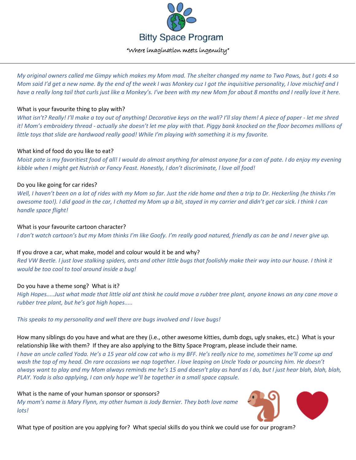

*My original owners called me Gimpy which makes my Mom mad. The shelter changed my name to Two Paws, but I gots 4 so Mom said I'd get a new name. By the end of the week I was Monkey cuz I got the inquisitive personality, I love mischief and I have a really long tail that curls just like a Monkey's. I've been with my new Mom for about 8 months and I really love it here.*

# What is your favourite thing to play with?

*What isn't? Really! I'll make a toy out of anything! Decorative keys on the wall? I'll slay them! A piece of paper - let me shred it! Mom's embroidery thread - actually she doesn't let me play with that. Piggy bank knocked on the floor becomes millions of little toys that slide are hardwood really good! While I'm playing with something it is my favorite.*

## What kind of food do you like to eat?

*Moist pate is my favoritiest food of all! I would do almost anything for almost anyone for a can of pate. I do enjoy my evening kibble when I might get Nutrish or Fancy Feast. Honestly, I don't discriminate, l love all food!*

## Do you like going for car rides?

*Well, I haven't been on a lot of rides with my Mom so far. Just the ride home and then a trip to Dr. Heckerling (he thinks I'm awesome too!). I did good in the car, I chatted my Mom up a bit, stayed in my carrier and didn't get car sick. I think I can handle space flight!*

## What is your favourite cartoon character?

*I don't watch cartoon's but my Mom thinks I'm like Goofy. I'm really good natured, friendly as can be and I never give up.*

# If you drove a car, what make, model and colour would it be and why?

*Red VW Beetle. I just love stalking spiders, ants and other little bugs that foolishly make their way into our house. I think it would be too cool to tool around inside a bug!*

# Do you have a theme song? What is it?

*High Hopes.....Just what made that little old ant think he could move a rubber tree plant, anyone knows an any cane move a rubber tree plant, but he's got high hopes.....*

### *This speaks to my personality and well there are bugs involved and I love bugs!*

How many siblings do you have and what are they (i.e., other awesome kitties, dumb dogs, ugly snakes, etc.) What is your relationship like with them? If they are also applying to the Bitty Space Program, please include their name.

*I have an uncle called Yoda. He's a 15 year old cow cat who is my BFF. He's really nice to me, sometimes he'll come up and*  wash the top of my head. On rare occasions we nap together. I love leaping on Uncle Yoda or pouncing him. He doesn't *always want to play and my Mom always reminds me he's 15 and doesn't play as hard as I do, but I just hear blah, blah, blah, PLAY. Yoda is also applying, I can only hope we'll be together in a small space capsule.*

### What is the name of your human sponsor or sponsors?

*My mom's name is Mary Flynn, my other human is Jody Bernier. They both love name lots!*



What type of position are you applying for? What special skills do you think we could use for our program?